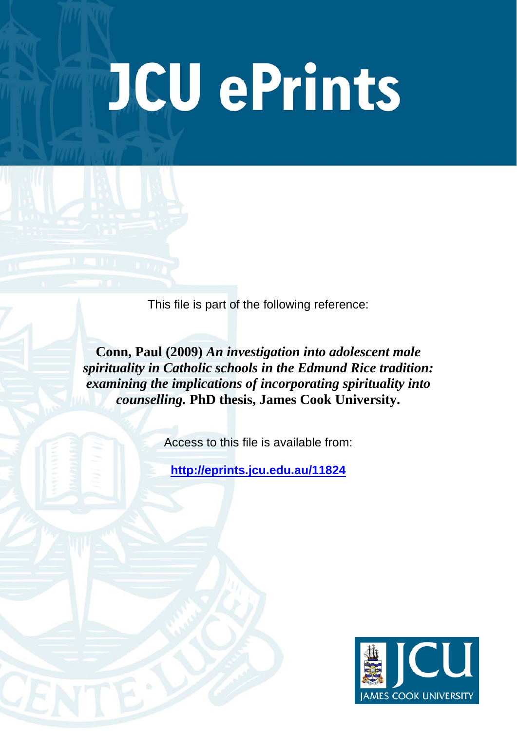# **JCU ePrints**

This file is part of the following reference:

**Conn, Paul (2009)** *An investigation into adolescent male spirituality in Catholic schools in the Edmund Rice tradition: examining the implications of incorporating spirituality into counselling.* **PhD thesis, James Cook University.** 

Access to this file is available from:

**<http://eprints.jcu.edu.au/11824>**

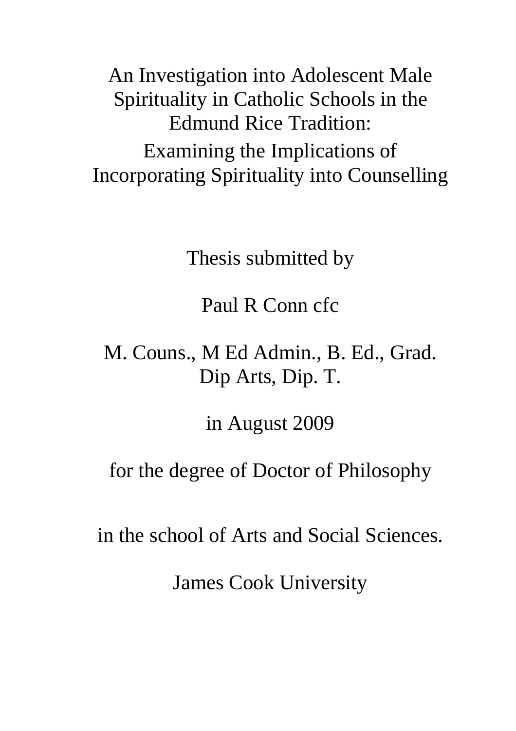An Investigation into Adolescent Male Spirituality in Catholic Schools in the Edmund Rice Tradition: Examining the Implications of Incorporating Spirituality into Counselling

Thesis submitted by

Paul R Conn cfc

# M. Couns., M Ed Admin., B. Ed., Grad. Dip Arts, Dip. T.

in August 2009

for the degree of Doctor of Philosophy

in the school of Arts and Social Sciences.

James Cook University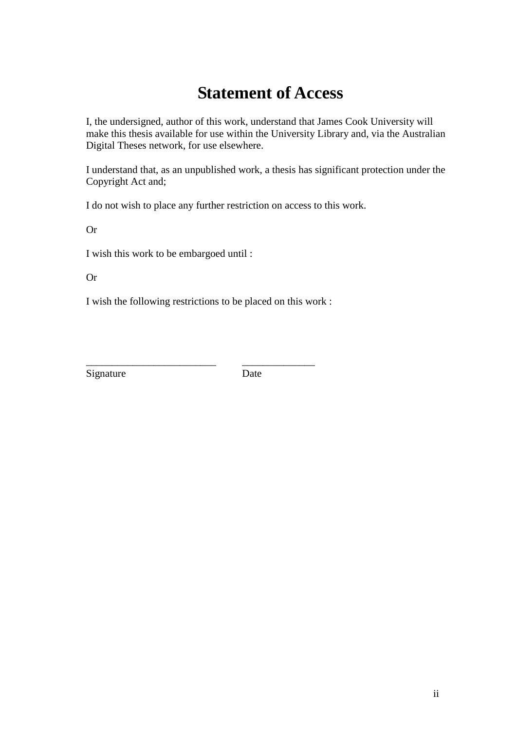## **Statement of Access**

I, the undersigned, author of this work, understand that James Cook University will make this thesis available for use within the University Library and, via the Australian Digital Theses network, for use elsewhere.

I understand that, as an unpublished work, a thesis has significant protection under the Copyright Act and;

I do not wish to place any further restriction on access to this work.

Or

I wish this work to be embargoed until :

Or

I wish the following restrictions to be placed on this work :

Signature Date

\_\_\_\_\_\_\_\_\_\_\_\_\_\_\_\_\_\_\_\_\_\_\_\_\_ \_\_\_\_\_\_\_\_\_\_\_\_\_\_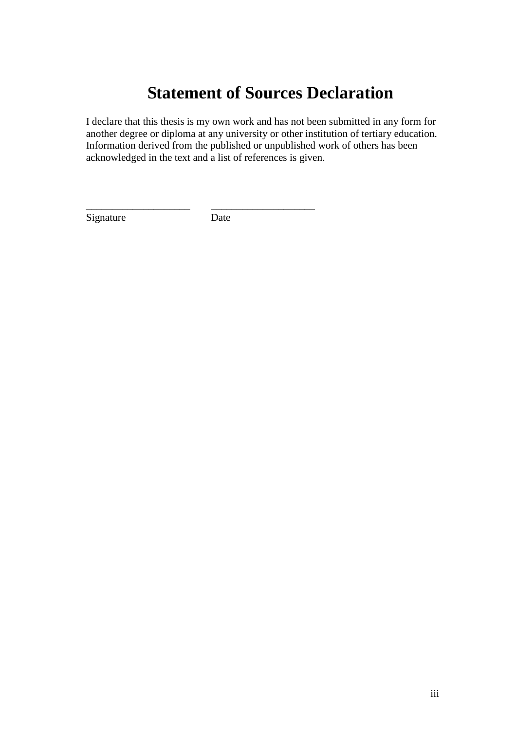### **Statement of Sources Declaration**

I declare that this thesis is my own work and has not been submitted in any form for another degree or diploma at any university or other institution of tertiary education. Information derived from the published or unpublished work of others has been acknowledged in the text and a list of references is given.

Signature Date

\_\_\_\_\_\_\_\_\_\_\_\_\_\_\_\_\_\_\_\_ \_\_\_\_\_\_\_\_\_\_\_\_\_\_\_\_\_\_\_\_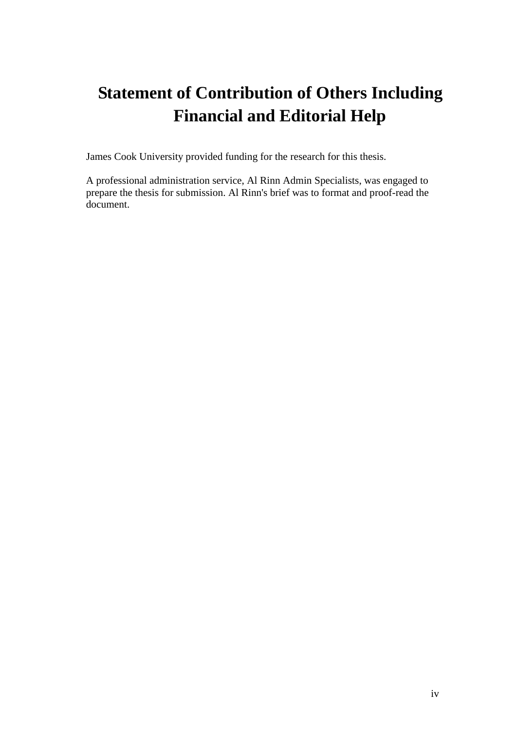# **Statement of Contribution of Others Including Financial and Editorial Help**

James Cook University provided funding for the research for this thesis.

A professional administration service, Al Rinn Admin Specialists, was engaged to prepare the thesis for submission. Al Rinn's brief was to format and proof-read the document.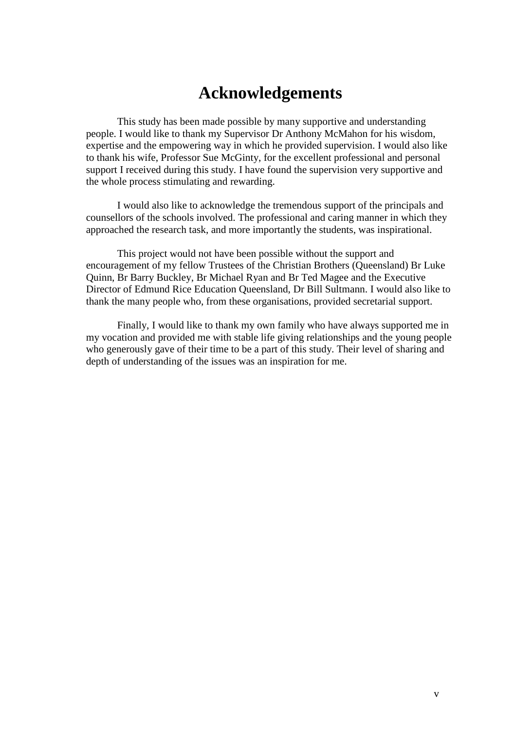#### **Acknowledgements**

This study has been made possible by many supportive and understanding people. I would like to thank my Supervisor Dr Anthony McMahon for his wisdom, expertise and the empowering way in which he provided supervision. I would also like to thank his wife, Professor Sue McGinty, for the excellent professional and personal support I received during this study. I have found the supervision very supportive and the whole process stimulating and rewarding.

I would also like to acknowledge the tremendous support of the principals and counsellors of the schools involved. The professional and caring manner in which they approached the research task, and more importantly the students, was inspirational.

This project would not have been possible without the support and encouragement of my fellow Trustees of the Christian Brothers (Queensland) Br Luke Quinn, Br Barry Buckley, Br Michael Ryan and Br Ted Magee and the Executive Director of Edmund Rice Education Queensland, Dr Bill Sultmann. I would also like to thank the many people who, from these organisations, provided secretarial support.

Finally, I would like to thank my own family who have always supported me in my vocation and provided me with stable life giving relationships and the young people who generously gave of their time to be a part of this study. Their level of sharing and depth of understanding of the issues was an inspiration for me.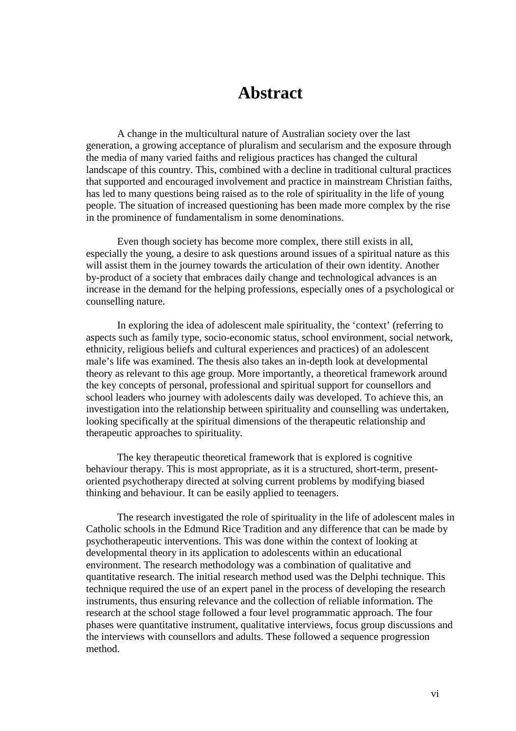#### **Abstract**

A change in the multicultural nature of Australian society over the last generation, a growing acceptance of pluralism and secularism and the exposure through the media of many varied faiths and religious practices has changed the cultural landscape of this country. This, combined with a decline in traditional cultural practices that supported and encouraged involvement and practice in mainstream Christian faiths, has led to many questions being raised as to the role of spirituality in the life of young people. The situation of increased questioning has been made more complex by the rise in the prominence of fundamentalism in some denominations.

Even though society has become more complex, there still exists in all, especially the young, a desire to ask questions around issues of a spiritual nature as this will assist them in the journey towards the articulation of their own identity. Another by-product of a society that embraces daily change and technological advances is an increase in the demand for the helping professions, especially ones of a psychological or counselling nature.

In exploring the idea of adolescent male spirituality, the 'context' (referring to aspects such as family type, socio-economic status, school environment, social network, ethnicity, religious beliefs and cultural experiences and practices) of an adolescent male's life was examined. The thesis also takes an in-depth look at developmental theory as relevant to this age group. More importantly, a theoretical framework around the key concepts of personal, professional and spiritual support for counsellors and school leaders who journey with adolescents daily was developed. To achieve this, an investigation into the relationship between spirituality and counselling was undertaken, looking specifically at the spiritual dimensions of the therapeutic relationship and therapeutic approaches to spirituality.

The key therapeutic theoretical framework that is explored is cognitive behaviour therapy. This is most appropriate, as it is a structured, short-term, presentoriented psychotherapy directed at solving current problems by modifying biased thinking and behaviour. It can be easily applied to teenagers.

The research investigated the role of spirituality in the life of adolescent males in Catholic schools in the Edmund Rice Tradition and any difference that can be made by psychotherapeutic interventions. This was done within the context of looking at developmental theory in its application to adolescents within an educational environment. The research methodology was a combination of qualitative and quantitative research. The initial research method used was the Delphi technique. This technique required the use of an expert panel in the process of developing the research instruments, thus ensuring relevance and the collection of reliable information. The research at the school stage followed a four level programmatic approach. The four phases were quantitative instrument, qualitative interviews, focus group discussions and the interviews with counsellors and adults. These followed a sequence progression method.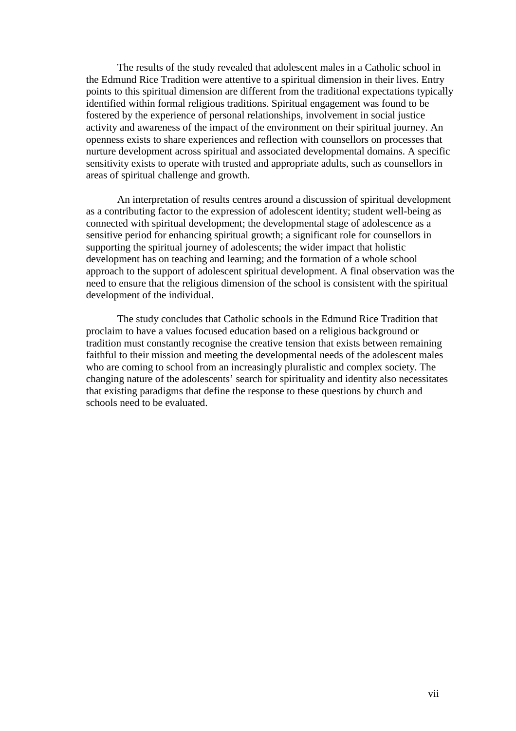The results of the study revealed that adolescent males in a Catholic school in the Edmund Rice Tradition were attentive to a spiritual dimension in their lives. Entry points to this spiritual dimension are different from the traditional expectations typically identified within formal religious traditions. Spiritual engagement was found to be fostered by the experience of personal relationships, involvement in social justice activity and awareness of the impact of the environment on their spiritual journey. An openness exists to share experiences and reflection with counsellors on processes that nurture development across spiritual and associated developmental domains. A specific sensitivity exists to operate with trusted and appropriate adults, such as counsellors in areas of spiritual challenge and growth.

An interpretation of results centres around a discussion of spiritual development as a contributing factor to the expression of adolescent identity; student well-being as connected with spiritual development; the developmental stage of adolescence as a sensitive period for enhancing spiritual growth; a significant role for counsellors in supporting the spiritual journey of adolescents; the wider impact that holistic development has on teaching and learning; and the formation of a whole school approach to the support of adolescent spiritual development. A final observation was the need to ensure that the religious dimension of the school is consistent with the spiritual development of the individual.

The study concludes that Catholic schools in the Edmund Rice Tradition that proclaim to have a values focused education based on a religious background or tradition must constantly recognise the creative tension that exists between remaining faithful to their mission and meeting the developmental needs of the adolescent males who are coming to school from an increasingly pluralistic and complex society. The changing nature of the adolescents' search for spirituality and identity also necessitates that existing paradigms that define the response to these questions by church and schools need to be evaluated.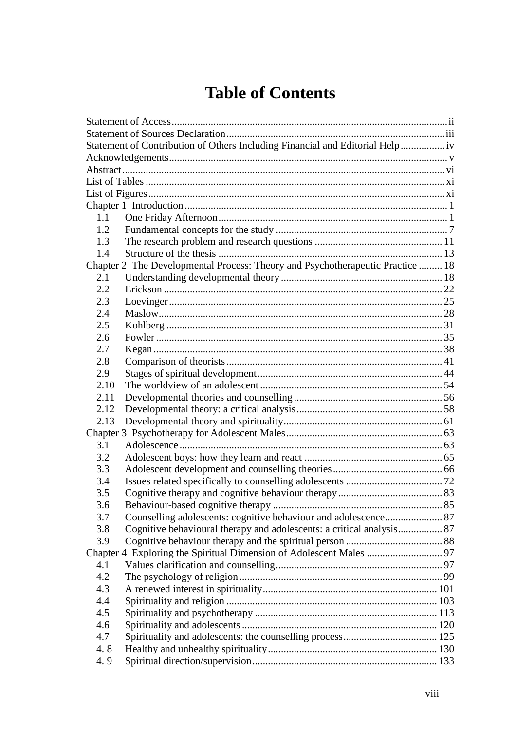## **Table of Contents**

| Statement of Contribution of Others Including Financial and Editorial Help<br>1.1<br>1.2<br>1.3<br>1.4<br>Chapter 2 The Developmental Process: Theory and Psychotherapeutic Practice  18<br>2.1<br>2.2<br>2.3<br>2.4<br>2.5<br>2.6<br>2.7<br>2.8<br>2.9<br>2.10<br>2.11<br>2.12<br>2.13<br>3.1<br>3.2<br>3.3<br>3.4<br>3.5<br>3.6<br>3.7<br>Cognitive behavioural therapy and adolescents: a critical analysis 87<br>3.8<br>3.9<br>4.1<br>4.2<br>4.3<br>4.4<br>4.5<br>4.6<br>4.7<br>4.8<br>4.9 |  |  |  |
|------------------------------------------------------------------------------------------------------------------------------------------------------------------------------------------------------------------------------------------------------------------------------------------------------------------------------------------------------------------------------------------------------------------------------------------------------------------------------------------------|--|--|--|
|                                                                                                                                                                                                                                                                                                                                                                                                                                                                                                |  |  |  |
|                                                                                                                                                                                                                                                                                                                                                                                                                                                                                                |  |  |  |
|                                                                                                                                                                                                                                                                                                                                                                                                                                                                                                |  |  |  |
|                                                                                                                                                                                                                                                                                                                                                                                                                                                                                                |  |  |  |
|                                                                                                                                                                                                                                                                                                                                                                                                                                                                                                |  |  |  |
|                                                                                                                                                                                                                                                                                                                                                                                                                                                                                                |  |  |  |
|                                                                                                                                                                                                                                                                                                                                                                                                                                                                                                |  |  |  |
|                                                                                                                                                                                                                                                                                                                                                                                                                                                                                                |  |  |  |
|                                                                                                                                                                                                                                                                                                                                                                                                                                                                                                |  |  |  |
|                                                                                                                                                                                                                                                                                                                                                                                                                                                                                                |  |  |  |
|                                                                                                                                                                                                                                                                                                                                                                                                                                                                                                |  |  |  |
|                                                                                                                                                                                                                                                                                                                                                                                                                                                                                                |  |  |  |
|                                                                                                                                                                                                                                                                                                                                                                                                                                                                                                |  |  |  |
|                                                                                                                                                                                                                                                                                                                                                                                                                                                                                                |  |  |  |
|                                                                                                                                                                                                                                                                                                                                                                                                                                                                                                |  |  |  |
|                                                                                                                                                                                                                                                                                                                                                                                                                                                                                                |  |  |  |
|                                                                                                                                                                                                                                                                                                                                                                                                                                                                                                |  |  |  |
|                                                                                                                                                                                                                                                                                                                                                                                                                                                                                                |  |  |  |
|                                                                                                                                                                                                                                                                                                                                                                                                                                                                                                |  |  |  |
|                                                                                                                                                                                                                                                                                                                                                                                                                                                                                                |  |  |  |
|                                                                                                                                                                                                                                                                                                                                                                                                                                                                                                |  |  |  |
|                                                                                                                                                                                                                                                                                                                                                                                                                                                                                                |  |  |  |
|                                                                                                                                                                                                                                                                                                                                                                                                                                                                                                |  |  |  |
|                                                                                                                                                                                                                                                                                                                                                                                                                                                                                                |  |  |  |
|                                                                                                                                                                                                                                                                                                                                                                                                                                                                                                |  |  |  |
|                                                                                                                                                                                                                                                                                                                                                                                                                                                                                                |  |  |  |
|                                                                                                                                                                                                                                                                                                                                                                                                                                                                                                |  |  |  |
|                                                                                                                                                                                                                                                                                                                                                                                                                                                                                                |  |  |  |
|                                                                                                                                                                                                                                                                                                                                                                                                                                                                                                |  |  |  |
|                                                                                                                                                                                                                                                                                                                                                                                                                                                                                                |  |  |  |
|                                                                                                                                                                                                                                                                                                                                                                                                                                                                                                |  |  |  |
|                                                                                                                                                                                                                                                                                                                                                                                                                                                                                                |  |  |  |
|                                                                                                                                                                                                                                                                                                                                                                                                                                                                                                |  |  |  |
|                                                                                                                                                                                                                                                                                                                                                                                                                                                                                                |  |  |  |
|                                                                                                                                                                                                                                                                                                                                                                                                                                                                                                |  |  |  |
|                                                                                                                                                                                                                                                                                                                                                                                                                                                                                                |  |  |  |
|                                                                                                                                                                                                                                                                                                                                                                                                                                                                                                |  |  |  |
|                                                                                                                                                                                                                                                                                                                                                                                                                                                                                                |  |  |  |
|                                                                                                                                                                                                                                                                                                                                                                                                                                                                                                |  |  |  |
|                                                                                                                                                                                                                                                                                                                                                                                                                                                                                                |  |  |  |
|                                                                                                                                                                                                                                                                                                                                                                                                                                                                                                |  |  |  |
|                                                                                                                                                                                                                                                                                                                                                                                                                                                                                                |  |  |  |
|                                                                                                                                                                                                                                                                                                                                                                                                                                                                                                |  |  |  |
|                                                                                                                                                                                                                                                                                                                                                                                                                                                                                                |  |  |  |
|                                                                                                                                                                                                                                                                                                                                                                                                                                                                                                |  |  |  |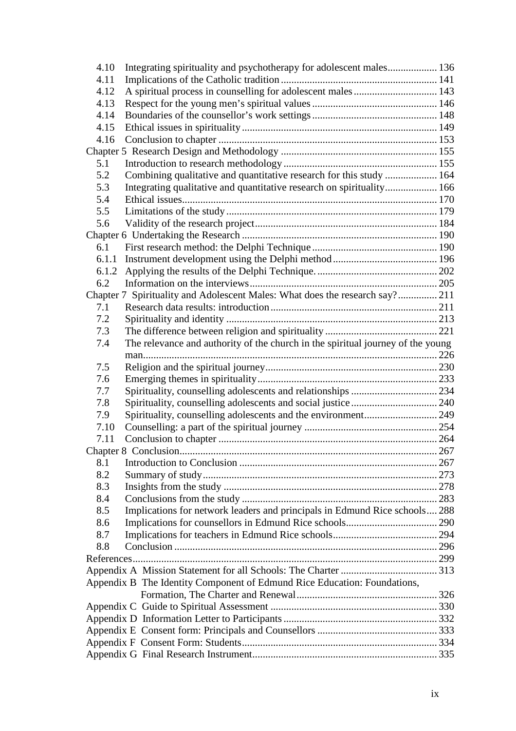| 4.10  | Integrating spirituality and psychotherapy for adolescent males 136             |  |  |
|-------|---------------------------------------------------------------------------------|--|--|
| 4.11  |                                                                                 |  |  |
| 4.12  | A spiritual process in counselling for adolescent males  143                    |  |  |
| 4.13  |                                                                                 |  |  |
| 4.14  |                                                                                 |  |  |
| 4.15  |                                                                                 |  |  |
| 4.16  |                                                                                 |  |  |
|       |                                                                                 |  |  |
| 5.1   |                                                                                 |  |  |
| 5.2   | Combining qualitative and quantitative research for this study  164             |  |  |
| 5.3   | Integrating qualitative and quantitative research on spirituality 166           |  |  |
| 5.4   |                                                                                 |  |  |
| 5.5   |                                                                                 |  |  |
| 5.6   |                                                                                 |  |  |
|       |                                                                                 |  |  |
| 6.1   |                                                                                 |  |  |
| 6.1.1 |                                                                                 |  |  |
| 6.1.2 |                                                                                 |  |  |
| 6.2   |                                                                                 |  |  |
|       | Chapter 7 Spirituality and Adolescent Males: What does the research say? 211    |  |  |
| 7.1   |                                                                                 |  |  |
| 7.2   |                                                                                 |  |  |
| 7.3   |                                                                                 |  |  |
| 7.4   | The relevance and authority of the church in the spiritual journey of the young |  |  |
|       |                                                                                 |  |  |
| 7.5   |                                                                                 |  |  |
| 7.6   |                                                                                 |  |  |
| 7.7   |                                                                                 |  |  |
| 7.8   |                                                                                 |  |  |
| 7.9   |                                                                                 |  |  |
| 7.10  |                                                                                 |  |  |
| 7.11  |                                                                                 |  |  |
|       |                                                                                 |  |  |
| 8.1   |                                                                                 |  |  |
| 8.2   |                                                                                 |  |  |
| 8.3   |                                                                                 |  |  |
| 8.4   |                                                                                 |  |  |
| 8.5   | Implications for network leaders and principals in Edmund Rice schools 288      |  |  |
| 8.6   |                                                                                 |  |  |
| 8.7   |                                                                                 |  |  |
| 8.8   |                                                                                 |  |  |
|       |                                                                                 |  |  |
|       |                                                                                 |  |  |
|       | Appendix B The Identity Component of Edmund Rice Education: Foundations,        |  |  |
|       |                                                                                 |  |  |
|       |                                                                                 |  |  |
|       |                                                                                 |  |  |
|       |                                                                                 |  |  |
|       |                                                                                 |  |  |
|       |                                                                                 |  |  |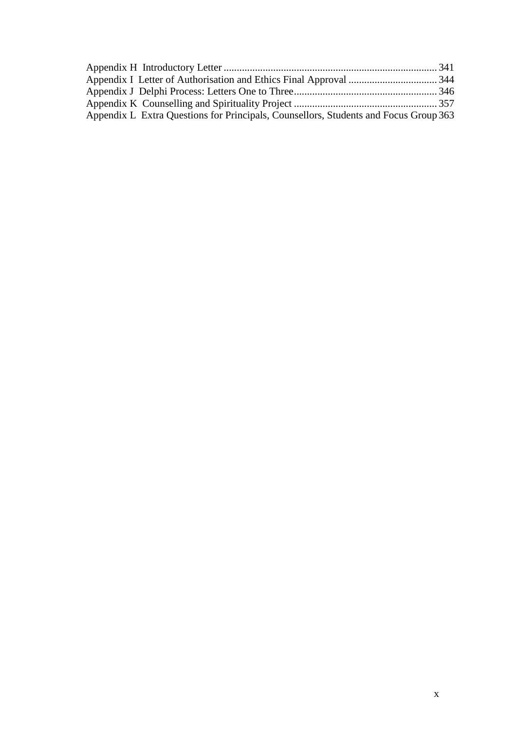| Appendix L Extra Questions for Principals, Counsellors, Students and Focus Group 363 |  |
|--------------------------------------------------------------------------------------|--|